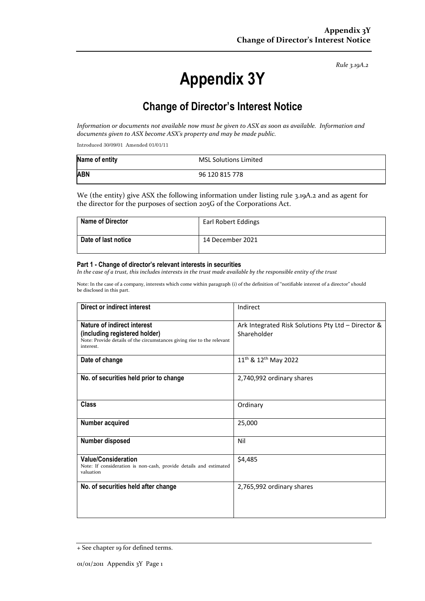*Rule 3.19A.2*

# **Appendix 3Y**

# **Change of Director's Interest Notice**

*Information or documents not available now must be given to ASX as soon as available. Information and documents given to ASX become ASX's property and may be made public.*

Introduced 30/09/01 Amended 01/01/11

| Name of entity | <b>MSL Solutions Limited</b> |
|----------------|------------------------------|
| <b>ABN</b>     | 96 120 815 778               |

We (the entity) give ASX the following information under listing rule 3.19A.2 and as agent for the director for the purposes of section 205G of the Corporations Act.

| <b>Name of Director</b> | Earl Robert Eddings |
|-------------------------|---------------------|
| Date of last notice     | 14 December 2021    |

#### **Part 1 - Change of director's relevant interests in securities**

*In the case of a trust, this includes interests in the trust made available by the responsible entity of the trust*

Note: In the case of a company, interests which come within paragraph (i) of the definition of "notifiable interest of a director" should be disclosed in this part.

| Direct or indirect interest                                                                                                                         | Indirect                                                          |
|-----------------------------------------------------------------------------------------------------------------------------------------------------|-------------------------------------------------------------------|
| Nature of indirect interest<br>(including registered holder)<br>Note: Provide details of the circumstances giving rise to the relevant<br>interest. | Ark Integrated Risk Solutions Pty Ltd - Director &<br>Shareholder |
| Date of change                                                                                                                                      | 11 <sup>th</sup> & 12 <sup>th</sup> May 2022                      |
| No. of securities held prior to change                                                                                                              | 2,740,992 ordinary shares                                         |
| <b>Class</b>                                                                                                                                        | Ordinary                                                          |
| Number acquired                                                                                                                                     | 25,000                                                            |
| <b>Number disposed</b>                                                                                                                              | Nil                                                               |
| <b>Value/Consideration</b><br>Note: If consideration is non-cash, provide details and estimated<br>valuation                                        | \$4,485                                                           |
| No. of securities held after change                                                                                                                 | 2,765,992 ordinary shares                                         |

<sup>+</sup> See chapter 19 for defined terms.